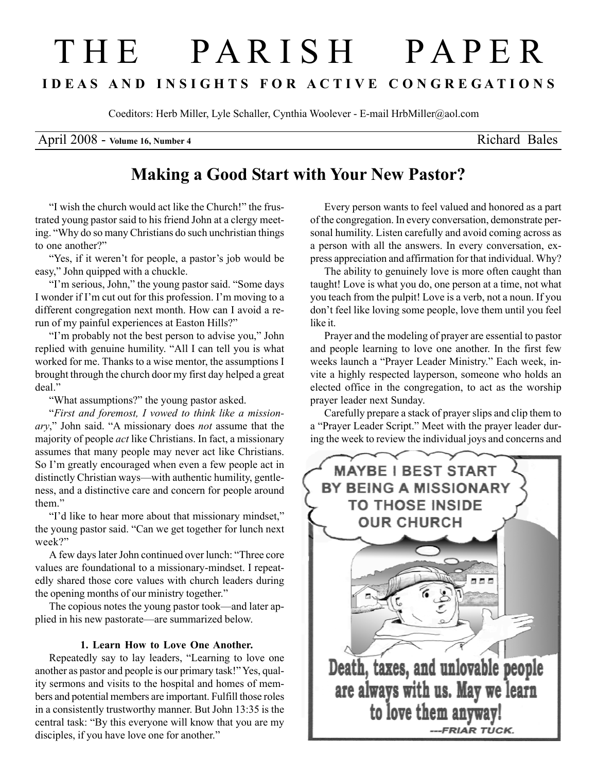# T H E P A R I S H P A P E R I D E A S A N D I N S I G H T S F O R A C T I V E C O N G R E G A T I O N S

Coeditors: Herb Miller, Lyle Schaller, Cynthia Woolever - E-mail HrbMiller@aol.com

April 2008 - Volume 16, Number 4 Richard Bales

## Making a Good Start with Your New Pastor?

"I wish the church would act like the Church!" the frustrated young pastor said to his friend John at a clergy meeting. "Why do so many Christians do such unchristian things to one another?"

"Yes, if it weren't for people, a pastor's job would be easy," John quipped with a chuckle.

"I'm serious, John," the young pastor said. "Some days I wonder if I'm cut out for this profession. I'm moving to a different congregation next month. How can I avoid a rerun of my painful experiences at Easton Hills?"

"I'm probably not the best person to advise you," John replied with genuine humility. "All I can tell you is what worked for me. Thanks to a wise mentor, the assumptions I brought through the church door my first day helped a great deal."

"What assumptions?" the young pastor asked.

"First and foremost, I vowed to think like a missionary," John said. "A missionary does not assume that the majority of people act like Christians. In fact, a missionary assumes that many people may never act like Christians. So I'm greatly encouraged when even a few people act in distinctly Christian ways—with authentic humility, gentleness, and a distinctive care and concern for people around them."

"I'd like to hear more about that missionary mindset," the young pastor said. "Can we get together for lunch next week?"

A few days later John continued over lunch: "Three core values are foundational to a missionary-mindset. I repeatedly shared those core values with church leaders during the opening months of our ministry together."

The copious notes the young pastor took—and later applied in his new pastorate—are summarized below.

### 1. Learn How to Love One Another.

Repeatedly say to lay leaders, "Learning to love one another as pastor and people is our primary task!" Yes, quality sermons and visits to the hospital and homes of members and potential members are important. Fulfill those roles in a consistently trustworthy manner. But John 13:35 is the central task: "By this everyone will know that you are my disciples, if you have love one for another."

Every person wants to feel valued and honored as a part of the congregation. In every conversation, demonstrate personal humility. Listen carefully and avoid coming across as a person with all the answers. In every conversation, express appreciation and affirmation for that individual. Why?

The ability to genuinely love is more often caught than taught! Love is what you do, one person at a time, not what you teach from the pulpit! Love is a verb, not a noun. If you don't feel like loving some people, love them until you feel like it.

Prayer and the modeling of prayer are essential to pastor and people learning to love one another. In the first few weeks launch a "Prayer Leader Ministry." Each week, invite a highly respected layperson, someone who holds an elected office in the congregation, to act as the worship prayer leader next Sunday.

Carefully prepare a stack of prayer slips and clip them to a "Prayer Leader Script." Meet with the prayer leader during the week to review the individual joys and concerns and